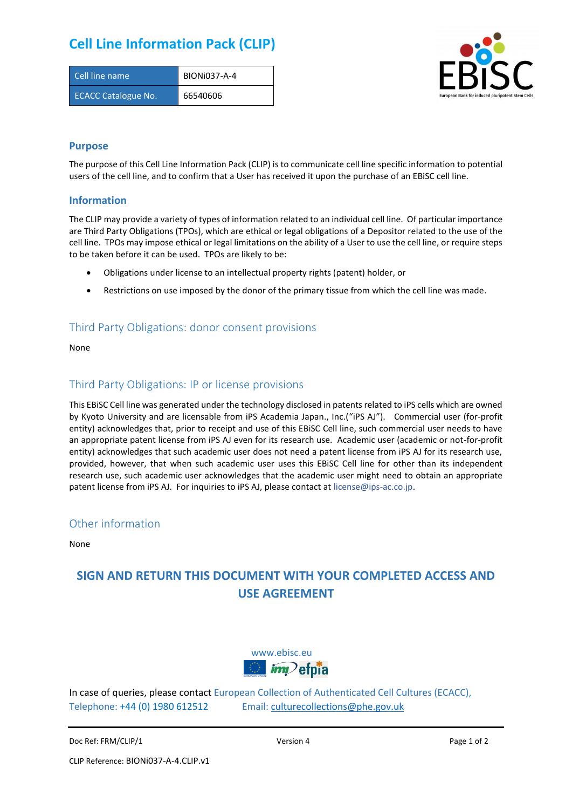## **Cell Line Information Pack (CLIP)**

| Cell line name             | <b>BIONI037-A-4</b> |
|----------------------------|---------------------|
| <b>ECACC Catalogue No.</b> | 66540606            |



#### **Purpose**

The purpose of this Cell Line Information Pack (CLIP) is to communicate cell line specific information to potential users of the cell line, and to confirm that a User has received it upon the purchase of an EBiSC cell line.

#### **Information**

The CLIP may provide a variety of types of information related to an individual cell line. Of particular importance are Third Party Obligations (TPOs), which are ethical or legal obligations of a Depositor related to the use of the cell line. TPOs may impose ethical or legal limitations on the ability of a User to use the cell line, or require steps to be taken before it can be used. TPOs are likely to be:

- Obligations under license to an intellectual property rights (patent) holder, or
- Restrictions on use imposed by the donor of the primary tissue from which the cell line was made.

#### Third Party Obligations: donor consent provisions

None

#### Third Party Obligations: IP or license provisions

This EBiSC Cell line was generated under the technology disclosed in patents related to iPS cells which are owned by Kyoto University and are licensable from iPS Academia Japan., Inc.("iPS AJ"). Commercial user (for-profit entity) acknowledges that, prior to receipt and use of this EBiSC Cell line, such commercial user needs to have an appropriate patent license from iPS AJ even for its research use. Academic user (academic or not-for-profit entity) acknowledges that such academic user does not need a patent license from iPS AJ for its research use, provided, however, that when such academic user uses this EBiSC Cell line for other than its independent research use, such academic user acknowledges that the academic user might need to obtain an appropriate patent license from iPS AJ. For inquiries to iPS AJ, please contact at [license@ips-ac.co.jp.](mailto:license@ips-ac.co.jp)

#### Other information

None

### **SIGN AND RETURN THIS DOCUMENT WITH YOUR COMPLETED ACCESS AND USE AGREEMENT**



In case of queries, please contact European Collection of Authenticated Cell Cultures (ECACC), Telephone: +44 (0) 1980 612512 Email: [culturecollections@phe.gov.uk](mailto:culturecollections@phe.gov.uk)

Doc Ref: FRM/CLIP/1 **Docessition 2** Page 1 of 2